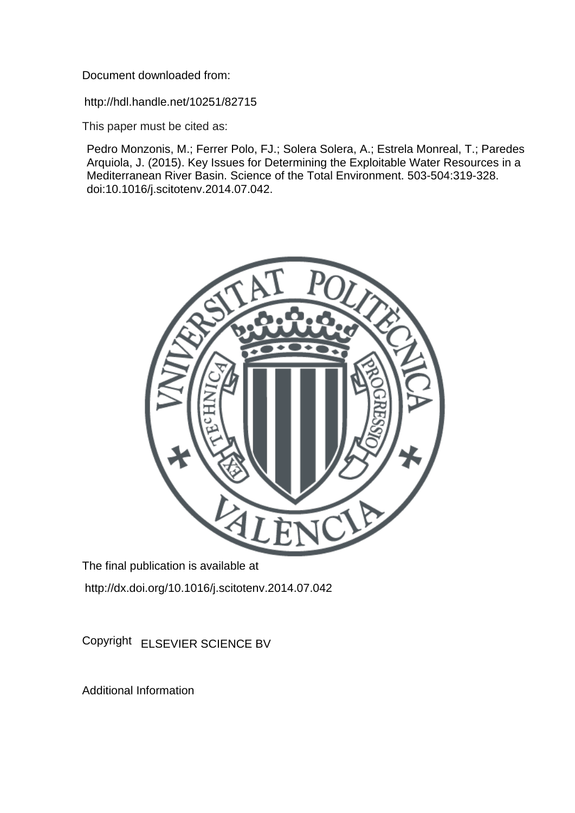Document downloaded from:

http://hdl.handle.net/10251/82715

This paper must be cited as:

Pedro Monzonis, M.; Ferrer Polo, FJ.; Solera Solera, A.; Estrela Monreal, T.; Paredes Arquiola, J. (2015). Key Issues for Determining the Exploitable Water Resources in a Mediterranean River Basin. Science of the Total Environment. 503-504:319-328. doi:10.1016/j.scitotenv.2014.07.042.



The final publication is available at http://dx.doi.org/10.1016/j.scitotenv.2014.07.042

Copyright ELSEVIER SCIENCE BV

Additional Information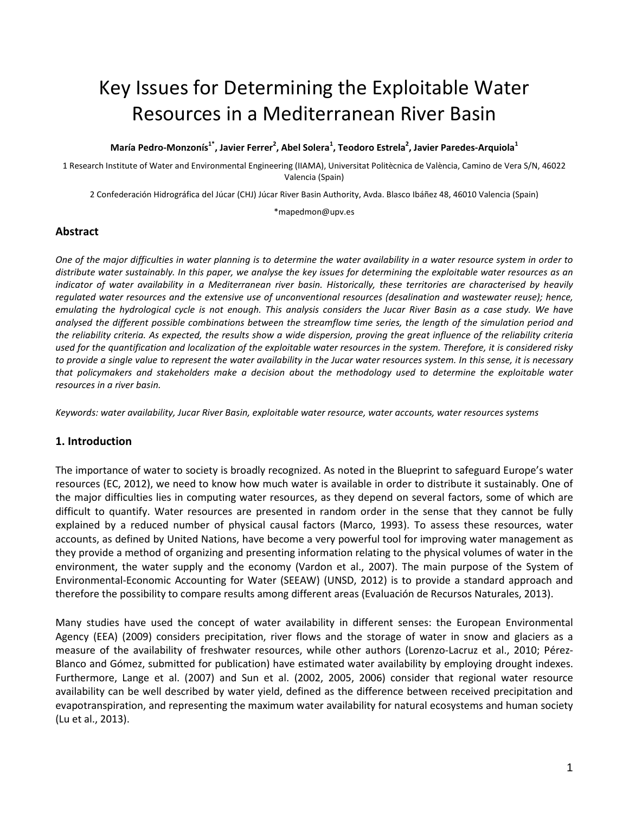# Key Issues for Determining the Exploitable Water Resources in a Mediterranean River Basin

María Pedro-Monzonís<sup>1\*</sup>, Javier Ferrer<sup>2</sup>, Abel Solera<sup>1</sup>, Teodoro Estrela<sup>2</sup>, Javier Paredes-Arquiola<sup>1</sup>

1 Research Institute of Water and Environmental Engineering (IIAMA), Universitat Politècnica de València, Camino de Vera S/N, 46022 Valencia (Spain)

2 Confederación Hidrográfica del Júcar (CHJ) Júcar River Basin Authority, Avda. Blasco Ibáñez 48, 46010 Valencia (Spain)

\*mapedmon@upv.es

# **Abstract**

*One of the major difficulties in water planning is to determine the water availability in a water resource system in order to distribute water sustainably. In this paper, we analyse the key issues for determining the exploitable water resources as an indicator of water availability in a Mediterranean river basin. Historically, these territories are characterised by heavily regulated water resources and the extensive use of unconventional resources (desalination and wastewater reuse); hence, emulating the hydrological cycle is not enough. This analysis considers the Jucar River Basin as a case study. We have analysed the different possible combinations between the streamflow time series, the length of the simulation period and the reliability criteria. As expected, the results show a wide dispersion, proving the great influence of the reliability criteria used for the quantification and localization of the exploitable water resources in the system. Therefore, it is considered risky to provide a single value to represent the water availability in the Jucar water resources system. In this sense, it is necessary that policymakers and stakeholders make a decision about the methodology used to determine the exploitable water resources in a river basin.*

*Keywords: water availability, Jucar River Basin, exploitable water resource, water accounts, water resources systems*

# **1. Introduction**

The importance of water to society is broadly recognized. As noted in the Blueprint to safeguard Europe's water resources (EC, 2012), we need to know how much water is available in order to distribute it sustainably. One of the major difficulties lies in computing water resources, as they depend on several factors, some of which are difficult to quantify. Water resources are presented in random order in the sense that they cannot be fully explained by a reduced number of physical causal factors (Marco, 1993). To assess these resources, water accounts, as defined by United Nations, have become a very powerful tool for improving water management as they provide a method of organizing and presenting information relating to the physical volumes of water in the environment, the water supply and the economy (Vardon et al., 2007). The main purpose of the System of Environmental-Economic Accounting for Water (SEEAW) (UNSD, 2012) is to provide a standard approach and therefore the possibility to compare results among different areas (Evaluación de Recursos Naturales, 2013).

Many studies have used the concept of water availability in different senses: the European Environmental Agency (EEA) (2009) considers precipitation, river flows and the storage of water in snow and glaciers as a measure of the availability of freshwater resources, while other authors (Lorenzo-Lacruz et al., 2010; Pérez-Blanco and Gómez, submitted for publication) have estimated water availability by employing drought indexes. Furthermore, Lange et al. (2007) and Sun et al. (2002, 2005, 2006) consider that regional water resource availability can be well described by water yield, defined as the difference between received precipitation and evapotranspiration, and representing the maximum water availability for natural ecosystems and human society (Lu et al., 2013).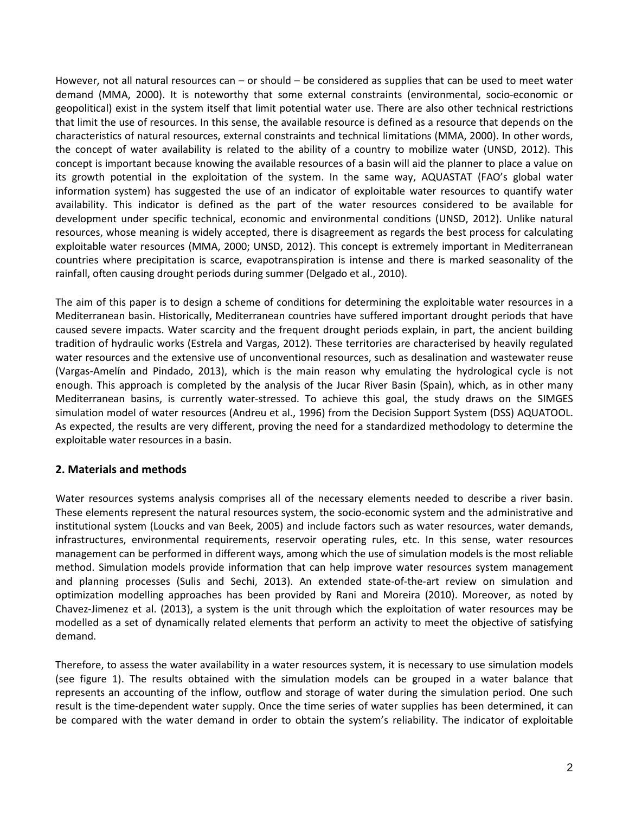However, not all natural resources can – or should – be considered as supplies that can be used to meet water demand (MMA, 2000). It is noteworthy that some external constraints (environmental, socio-economic or geopolitical) exist in the system itself that limit potential water use. There are also other technical restrictions that limit the use of resources. In this sense, the available resource is defined as a resource that depends on the characteristics of natural resources, external constraints and technical limitations (MMA, 2000). In other words, the concept of water availability is related to the ability of a country to mobilize water (UNSD, 2012). This concept is important because knowing the available resources of a basin will aid the planner to place a value on its growth potential in the exploitation of the system. In the same way, AQUASTAT (FAO's global water information system) has suggested the use of an indicator of exploitable water resources to quantify water availability. This indicator is defined as the part of the water resources considered to be available for development under specific technical, economic and environmental conditions (UNSD, 2012). Unlike natural resources, whose meaning is widely accepted, there is disagreement as regards the best process for calculating exploitable water resources (MMA, 2000; UNSD, 2012). This concept is extremely important in Mediterranean countries where precipitation is scarce, evapotranspiration is intense and there is marked seasonality of the rainfall, often causing drought periods during summer (Delgado et al., 2010).

The aim of this paper is to design a scheme of conditions for determining the exploitable water resources in a Mediterranean basin. Historically, Mediterranean countries have suffered important drought periods that have caused severe impacts. Water scarcity and the frequent drought periods explain, in part, the ancient building tradition of hydraulic works (Estrela and Vargas, 2012). These territories are characterised by heavily regulated water resources and the extensive use of unconventional resources, such as desalination and wastewater reuse (Vargas-Amelín and Pindado, 2013), which is the main reason why emulating the hydrological cycle is not enough. This approach is completed by the analysis of the Jucar River Basin (Spain), which, as in other many Mediterranean basins, is currently water-stressed. To achieve this goal, the study draws on the SIMGES simulation model of water resources (Andreu et al., 1996) from the Decision Support System (DSS) AQUATOOL. As expected, the results are very different, proving the need for a standardized methodology to determine the exploitable water resources in a basin.

# **2. Materials and methods**

Water resources systems analysis comprises all of the necessary elements needed to describe a river basin. These elements represent the natural resources system, the socio-economic system and the administrative and institutional system (Loucks and van Beek, 2005) and include factors such as water resources, water demands, infrastructures, environmental requirements, reservoir operating rules, etc. In this sense, water resources management can be performed in different ways, among which the use of simulation models is the most reliable method. Simulation models provide information that can help improve water resources system management and planning processes (Sulis and Sechi, 2013). An extended state-of-the-art review on simulation and optimization modelling approaches has been provided by Rani and Moreira (2010). Moreover, as noted by Chavez-Jimenez et al. (2013), a system is the unit through which the exploitation of water resources may be modelled as a set of dynamically related elements that perform an activity to meet the objective of satisfying demand.

Therefore, to assess the water availability in a water resources system, it is necessary to use simulation models (see figure 1). The results obtained with the simulation models can be grouped in a water balance that represents an accounting of the inflow, outflow and storage of water during the simulation period. One such result is the time-dependent water supply. Once the time series of water supplies has been determined, it can be compared with the water demand in order to obtain the system's reliability. The indicator of exploitable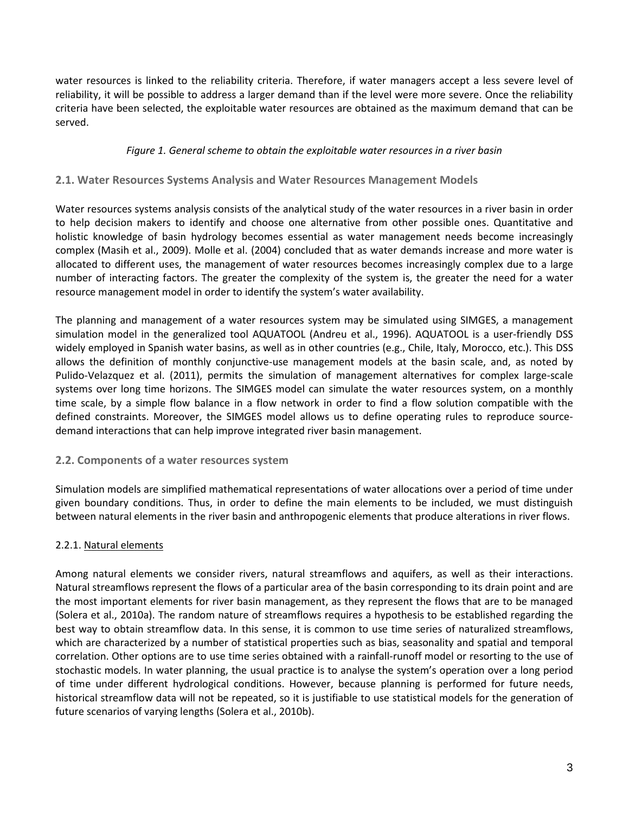water resources is linked to the reliability criteria. Therefore, if water managers accept a less severe level of reliability, it will be possible to address a larger demand than if the level were more severe. Once the reliability criteria have been selected, the exploitable water resources are obtained as the maximum demand that can be served.

## *Figure 1. General scheme to obtain the exploitable water resources in a river basin*

## **2.1. Water Resources Systems Analysis and Water Resources Management Models**

Water resources systems analysis consists of the analytical study of the water resources in a river basin in order to help decision makers to identify and choose one alternative from other possible ones. Quantitative and holistic knowledge of basin hydrology becomes essential as water management needs become increasingly complex (Masih et al., 2009). Molle et al. (2004) concluded that as water demands increase and more water is allocated to different uses, the management of water resources becomes increasingly complex due to a large number of interacting factors. The greater the complexity of the system is, the greater the need for a water resource management model in order to identify the system's water availability.

The planning and management of a water resources system may be simulated using SIMGES, a management simulation model in the generalized tool AQUATOOL (Andreu et al., 1996). AQUATOOL is a user-friendly DSS widely employed in Spanish water basins, as well as in other countries (e.g., Chile, Italy, Morocco, etc.). This DSS allows the definition of monthly conjunctive-use management models at the basin scale, and, as noted by Pulido-Velazquez et al. (2011), permits the simulation of management alternatives for complex large-scale systems over long time horizons. The SIMGES model can simulate the water resources system, on a monthly time scale, by a simple flow balance in a flow network in order to find a flow solution compatible with the defined constraints. Moreover, the SIMGES model allows us to define operating rules to reproduce sourcedemand interactions that can help improve integrated river basin management.

#### **2.2. Components of a water resources system**

Simulation models are simplified mathematical representations of water allocations over a period of time under given boundary conditions. Thus, in order to define the main elements to be included, we must distinguish between natural elements in the river basin and anthropogenic elements that produce alterations in river flows.

# 2.2.1. Natural elements

Among natural elements we consider rivers, natural streamflows and aquifers, as well as their interactions. Natural streamflows represent the flows of a particular area of the basin corresponding to its drain point and are the most important elements for river basin management, as they represent the flows that are to be managed (Solera et al., 2010a). The random nature of streamflows requires a hypothesis to be established regarding the best way to obtain streamflow data. In this sense, it is common to use time series of naturalized streamflows, which are characterized by a number of statistical properties such as bias, seasonality and spatial and temporal correlation. Other options are to use time series obtained with a rainfall-runoff model or resorting to the use of stochastic models. In water planning, the usual practice is to analyse the system's operation over a long period of time under different hydrological conditions. However, because planning is performed for future needs, historical streamflow data will not be repeated, so it is justifiable to use statistical models for the generation of future scenarios of varying lengths (Solera et al., 2010b).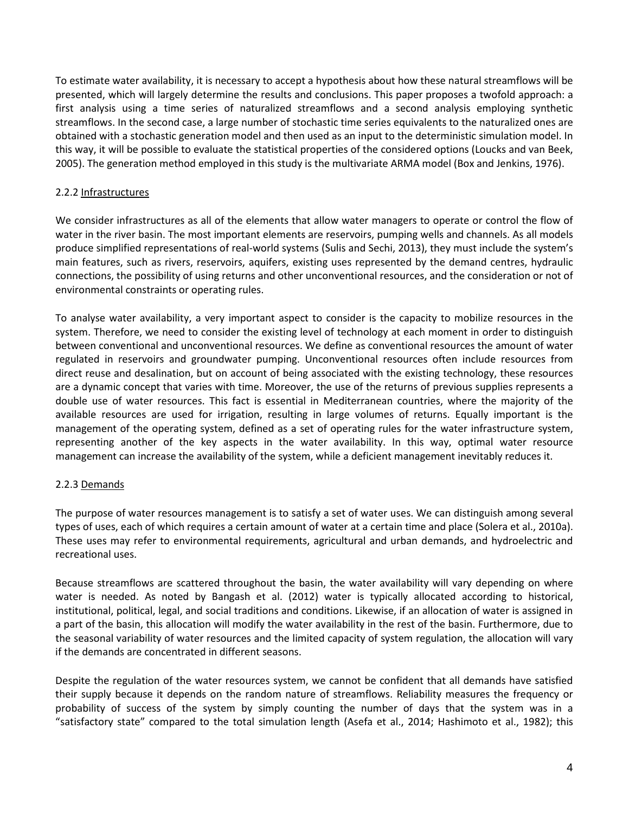To estimate water availability, it is necessary to accept a hypothesis about how these natural streamflows will be presented, which will largely determine the results and conclusions. This paper proposes a twofold approach: a first analysis using a time series of naturalized streamflows and a second analysis employing synthetic streamflows. In the second case, a large number of stochastic time series equivalents to the naturalized ones are obtained with a stochastic generation model and then used as an input to the deterministic simulation model. In this way, it will be possible to evaluate the statistical properties of the considered options (Loucks and van Beek, 2005). The generation method employed in this study is the multivariate ARMA model (Box and Jenkins, 1976).

## 2.2.2 Infrastructures

We consider infrastructures as all of the elements that allow water managers to operate or control the flow of water in the river basin. The most important elements are reservoirs, pumping wells and channels. As all models produce simplified representations of real-world systems (Sulis and Sechi, 2013), they must include the system's main features, such as rivers, reservoirs, aquifers, existing uses represented by the demand centres, hydraulic connections, the possibility of using returns and other unconventional resources, and the consideration or not of environmental constraints or operating rules.

To analyse water availability, a very important aspect to consider is the capacity to mobilize resources in the system. Therefore, we need to consider the existing level of technology at each moment in order to distinguish between conventional and unconventional resources. We define as conventional resources the amount of water regulated in reservoirs and groundwater pumping. Unconventional resources often include resources from direct reuse and desalination, but on account of being associated with the existing technology, these resources are a dynamic concept that varies with time. Moreover, the use of the returns of previous supplies represents a double use of water resources. This fact is essential in Mediterranean countries, where the majority of the available resources are used for irrigation, resulting in large volumes of returns. Equally important is the management of the operating system, defined as a set of operating rules for the water infrastructure system, representing another of the key aspects in the water availability. In this way, optimal water resource management can increase the availability of the system, while a deficient management inevitably reduces it.

#### 2.2.3 Demands

The purpose of water resources management is to satisfy a set of water uses. We can distinguish among several types of uses, each of which requires a certain amount of water at a certain time and place (Solera et al., 2010a). These uses may refer to environmental requirements, agricultural and urban demands, and hydroelectric and recreational uses.

Because streamflows are scattered throughout the basin, the water availability will vary depending on where water is needed. As noted by Bangash et al. (2012) water is typically allocated according to historical, institutional, political, legal, and social traditions and conditions. Likewise, if an allocation of water is assigned in a part of the basin, this allocation will modify the water availability in the rest of the basin. Furthermore, due to the seasonal variability of water resources and the limited capacity of system regulation, the allocation will vary if the demands are concentrated in different seasons.

Despite the regulation of the water resources system, we cannot be confident that all demands have satisfied their supply because it depends on the random nature of streamflows. Reliability measures the frequency or probability of success of the system by simply counting the number of days that the system was in a "satisfactory state" compared to the total simulation length (Asefa et al., 2014; Hashimoto et al., 1982); this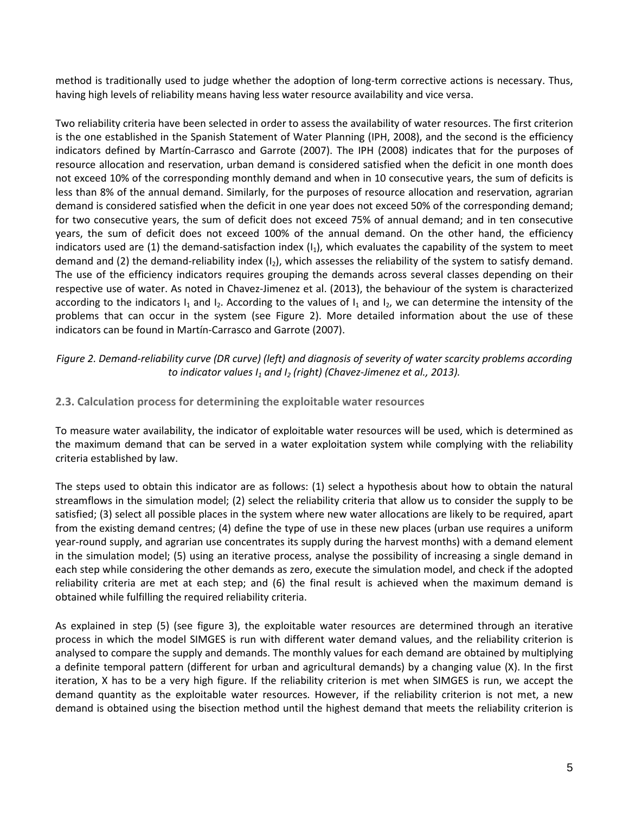method is traditionally used to judge whether the adoption of long-term corrective actions is necessary. Thus, having high levels of reliability means having less water resource availability and vice versa.

Two reliability criteria have been selected in order to assess the availability of water resources. The first criterion is the one established in the Spanish Statement of Water Planning (IPH, 2008), and the second is the efficiency indicators defined by Martín-Carrasco and Garrote (2007). The IPH (2008) indicates that for the purposes of resource allocation and reservation, urban demand is considered satisfied when the deficit in one month does not exceed 10% of the corresponding monthly demand and when in 10 consecutive years, the sum of deficits is less than 8% of the annual demand. Similarly, for the purposes of resource allocation and reservation, agrarian demand is considered satisfied when the deficit in one year does not exceed 50% of the corresponding demand; for two consecutive years, the sum of deficit does not exceed 75% of annual demand; and in ten consecutive years, the sum of deficit does not exceed 100% of the annual demand. On the other hand, the efficiency indicators used are (1) the demand-satisfaction index  $(I_1)$ , which evaluates the capability of the system to meet demand and (2) the demand-reliability index  $(I_2)$ , which assesses the reliability of the system to satisfy demand. The use of the efficiency indicators requires grouping the demands across several classes depending on their respective use of water. As noted in Chavez-Jimenez et al. (2013), the behaviour of the system is characterized according to the indicators  $I_1$  and  $I_2$ . According to the values of  $I_1$  and  $I_2$ , we can determine the intensity of the problems that can occur in the system (see Figure 2). More detailed information about the use of these indicators can be found in Martín-Carrasco and Garrote (2007).

## *Figure 2. Demand-reliability curve (DR curve) (left) and diagnosis of severity of water scarcity problems according to indicator values I1 and I2 (right) (Chavez-Jimenez et al., 2013).*

## **2.3. Calculation process for determining the exploitable water resources**

To measure water availability, the indicator of exploitable water resources will be used, which is determined as the maximum demand that can be served in a water exploitation system while complying with the reliability criteria established by law.

The steps used to obtain this indicator are as follows: (1) select a hypothesis about how to obtain the natural streamflows in the simulation model; (2) select the reliability criteria that allow us to consider the supply to be satisfied; (3) select all possible places in the system where new water allocations are likely to be required, apart from the existing demand centres; (4) define the type of use in these new places (urban use requires a uniform year-round supply, and agrarian use concentrates its supply during the harvest months) with a demand element in the simulation model; (5) using an iterative process, analyse the possibility of increasing a single demand in each step while considering the other demands as zero, execute the simulation model, and check if the adopted reliability criteria are met at each step; and (6) the final result is achieved when the maximum demand is obtained while fulfilling the required reliability criteria.

As explained in step (5) (see figure 3), the exploitable water resources are determined through an iterative process in which the model SIMGES is run with different water demand values, and the reliability criterion is analysed to compare the supply and demands. The monthly values for each demand are obtained by multiplying a definite temporal pattern (different for urban and agricultural demands) by a changing value (X). In the first iteration, X has to be a very high figure. If the reliability criterion is met when SIMGES is run, we accept the demand quantity as the exploitable water resources. However, if the reliability criterion is not met, a new demand is obtained using the bisection method until the highest demand that meets the reliability criterion is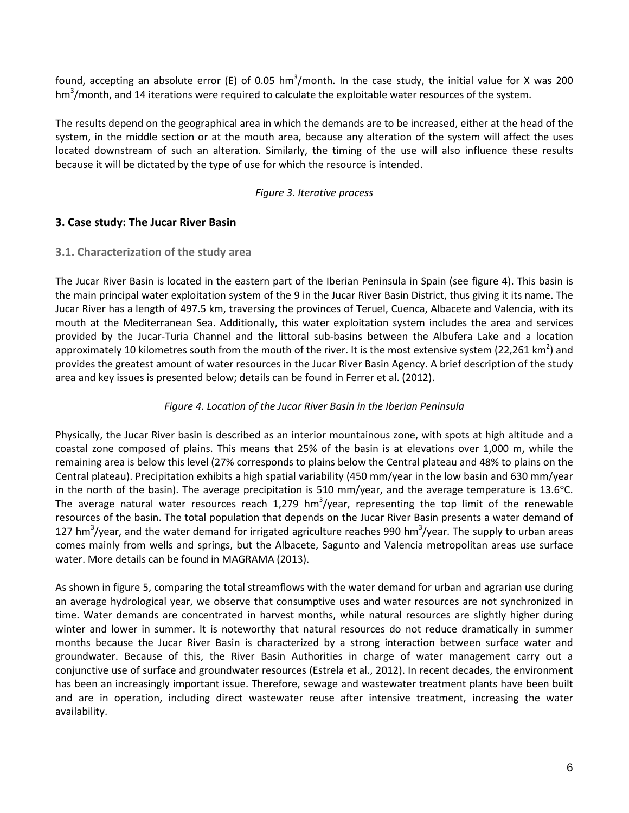found, accepting an absolute error (E) of 0.05 hm<sup>3</sup>/month. In the case study, the initial value for X was 200 hm<sup>3</sup>/month, and 14 iterations were required to calculate the exploitable water resources of the system.

The results depend on the geographical area in which the demands are to be increased, either at the head of the system, in the middle section or at the mouth area, because any alteration of the system will affect the uses located downstream of such an alteration. Similarly, the timing of the use will also influence these results because it will be dictated by the type of use for which the resource is intended.

#### *Figure 3. Iterative process*

# **3. Case study: The Jucar River Basin**

## **3.1. Characterization of the study area**

The Jucar River Basin is located in the eastern part of the Iberian Peninsula in Spain (see figure 4). This basin is the main principal water exploitation system of the 9 in the Jucar River Basin District, thus giving it its name. The Jucar River has a length of 497.5 km, traversing the provinces of Teruel, Cuenca, Albacete and Valencia, with its mouth at the Mediterranean Sea. Additionally, this water exploitation system includes the area and services provided by the Jucar-Turia Channel and the littoral sub-basins between the Albufera Lake and a location approximately 10 kilometres south from the mouth of the river. It is the most extensive system (22,261 km<sup>2</sup>) and provides the greatest amount of water resources in the Jucar River Basin Agency. A brief description of the study area and key issues is presented below; details can be found in Ferrer et al. (2012).

#### *Figure 4. Location of the Jucar River Basin in the Iberian Peninsula*

Physically, the Jucar River basin is described as an interior mountainous zone, with spots at high altitude and a coastal zone composed of plains. This means that 25% of the basin is at elevations over 1,000 m, while the remaining area is below this level (27% corresponds to plains below the Central plateau and 48% to plains on the Central plateau). Precipitation exhibits a high spatial variability (450 mm/year in the low basin and 630 mm/year in the north of the basin). The average precipitation is 510 mm/year, and the average temperature is 13.6°C. The average natural water resources reach 1,279 hm<sup>3</sup>/year, representing the top limit of the renewable resources of the basin. The total population that depends on the Jucar River Basin presents a water demand of 127 hm<sup>3</sup>/year, and the water demand for irrigated agriculture reaches 990 hm<sup>3</sup>/year. The supply to urban areas comes mainly from wells and springs, but the Albacete, Sagunto and Valencia metropolitan areas use surface water. More details can be found in MAGRAMA (2013).

As shown in figure 5, comparing the total streamflows with the water demand for urban and agrarian use during an average hydrological year, we observe that consumptive uses and water resources are not synchronized in time. Water demands are concentrated in harvest months, while natural resources are slightly higher during winter and lower in summer. It is noteworthy that natural resources do not reduce dramatically in summer months because the Jucar River Basin is characterized by a strong interaction between surface water and groundwater. Because of this, the River Basin Authorities in charge of water management carry out a conjunctive use of surface and groundwater resources (Estrela et al., 2012). In recent decades, the environment has been an increasingly important issue. Therefore, sewage and wastewater treatment plants have been built and are in operation, including direct wastewater reuse after intensive treatment, increasing the water availability.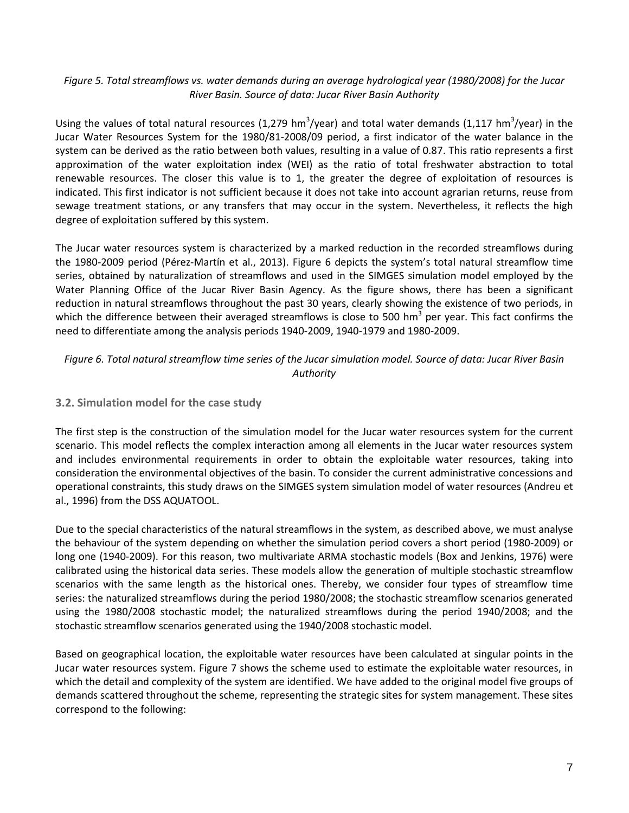## *Figure 5. Total streamflows vs. water demands during an average hydrological year (1980/2008) for the Jucar River Basin. Source of data: Jucar River Basin Authority*

Using the values of total natural resources (1,279 hm<sup>3</sup>/year) and total water demands (1,117 hm<sup>3</sup>/year) in the Jucar Water Resources System for the 1980/81-2008/09 period, a first indicator of the water balance in the system can be derived as the ratio between both values, resulting in a value of 0.87. This ratio represents a first approximation of the water exploitation index (WEI) as the ratio of total freshwater abstraction to total renewable resources. The closer this value is to 1, the greater the degree of exploitation of resources is indicated. This first indicator is not sufficient because it does not take into account agrarian returns, reuse from sewage treatment stations, or any transfers that may occur in the system. Nevertheless, it reflects the high degree of exploitation suffered by this system.

The Jucar water resources system is characterized by a marked reduction in the recorded streamflows during the 1980-2009 period (Pérez-Martín et al., 2013). Figure 6 depicts the system's total natural streamflow time series, obtained by naturalization of streamflows and used in the SIMGES simulation model employed by the Water Planning Office of the Jucar River Basin Agency. As the figure shows, there has been a significant reduction in natural streamflows throughout the past 30 years, clearly showing the existence of two periods, in which the difference between their averaged streamflows is close to 500 hm<sup>3</sup> per year. This fact confirms the need to differentiate among the analysis periods 1940-2009, 1940-1979 and 1980-2009.

# *Figure 6. Total natural streamflow time series of the Jucar simulation model. Source of data: Jucar River Basin Authority*

## **3.2. Simulation model for the case study**

The first step is the construction of the simulation model for the Jucar water resources system for the current scenario. This model reflects the complex interaction among all elements in the Jucar water resources system and includes environmental requirements in order to obtain the exploitable water resources, taking into consideration the environmental objectives of the basin. To consider the current administrative concessions and operational constraints, this study draws on the SIMGES system simulation model of water resources (Andreu et al., 1996) from the DSS AQUATOOL.

Due to the special characteristics of the natural streamflows in the system, as described above, we must analyse the behaviour of the system depending on whether the simulation period covers a short period (1980-2009) or long one (1940-2009). For this reason, two multivariate ARMA stochastic models (Box and Jenkins, 1976) were calibrated using the historical data series. These models allow the generation of multiple stochastic streamflow scenarios with the same length as the historical ones. Thereby, we consider four types of streamflow time series: the naturalized streamflows during the period 1980/2008; the stochastic streamflow scenarios generated using the 1980/2008 stochastic model; the naturalized streamflows during the period 1940/2008; and the stochastic streamflow scenarios generated using the 1940/2008 stochastic model.

Based on geographical location, the exploitable water resources have been calculated at singular points in the Jucar water resources system. Figure 7 shows the scheme used to estimate the exploitable water resources, in which the detail and complexity of the system are identified. We have added to the original model five groups of demands scattered throughout the scheme, representing the strategic sites for system management. These sites correspond to the following: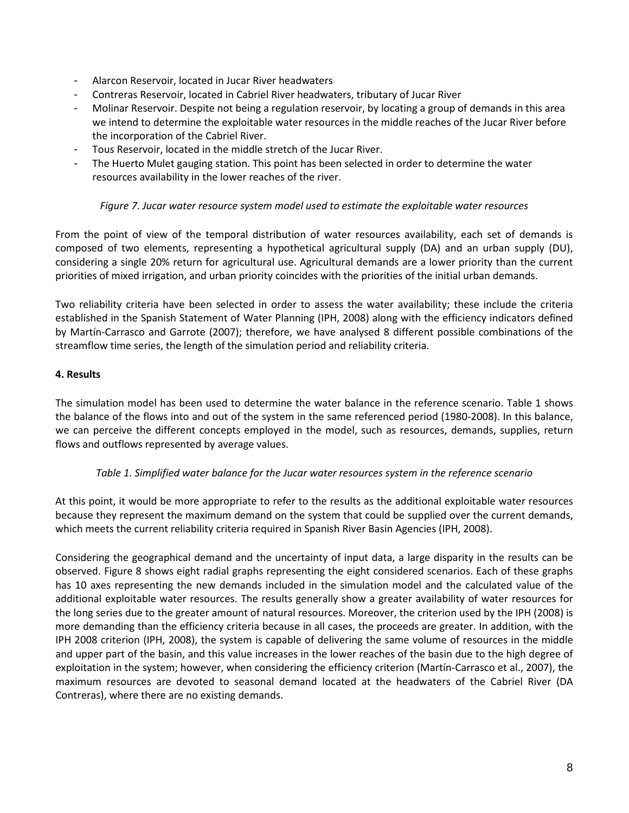- Alarcon Reservoir, located in Jucar River headwaters
- Contreras Reservoir, located in Cabriel River headwaters, tributary of Jucar River
- Molinar Reservoir. Despite not being a regulation reservoir, by locating a group of demands in this area we intend to determine the exploitable water resources in the middle reaches of the Jucar River before the incorporation of the Cabriel River.
- Tous Reservoir, located in the middle stretch of the Jucar River.
- The Huerto Mulet gauging station. This point has been selected in order to determine the water resources availability in the lower reaches of the river.

## *Figure 7. Jucar water resource system model used to estimate the exploitable water resources*

From the point of view of the temporal distribution of water resources availability, each set of demands is composed of two elements, representing a hypothetical agricultural supply (DA) and an urban supply (DU), considering a single 20% return for agricultural use. Agricultural demands are a lower priority than the current priorities of mixed irrigation, and urban priority coincides with the priorities of the initial urban demands.

Two reliability criteria have been selected in order to assess the water availability; these include the criteria established in the Spanish Statement of Water Planning (IPH, 2008) along with the efficiency indicators defined by Martín-Carrasco and Garrote (2007); therefore, we have analysed 8 different possible combinations of the streamflow time series, the length of the simulation period and reliability criteria.

## **4. Results**

The simulation model has been used to determine the water balance in the reference scenario. Table 1 shows the balance of the flows into and out of the system in the same referenced period (1980-2008). In this balance, we can perceive the different concepts employed in the model, such as resources, demands, supplies, return flows and outflows represented by average values.

#### *Table 1. Simplified water balance for the Jucar water resources system in the reference scenario*

At this point, it would be more appropriate to refer to the results as the additional exploitable water resources because they represent the maximum demand on the system that could be supplied over the current demands, which meets the current reliability criteria required in Spanish River Basin Agencies (IPH, 2008).

Considering the geographical demand and the uncertainty of input data, a large disparity in the results can be observed. Figure 8 shows eight radial graphs representing the eight considered scenarios. Each of these graphs has 10 axes representing the new demands included in the simulation model and the calculated value of the additional exploitable water resources. The results generally show a greater availability of water resources for the long series due to the greater amount of natural resources. Moreover, the criterion used by the IPH (2008) is more demanding than the efficiency criteria because in all cases, the proceeds are greater. In addition, with the IPH 2008 criterion (IPH, 2008), the system is capable of delivering the same volume of resources in the middle and upper part of the basin, and this value increases in the lower reaches of the basin due to the high degree of exploitation in the system; however, when considering the efficiency criterion (Martín-Carrasco et al., 2007), the maximum resources are devoted to seasonal demand located at the headwaters of the Cabriel River (DA Contreras), where there are no existing demands.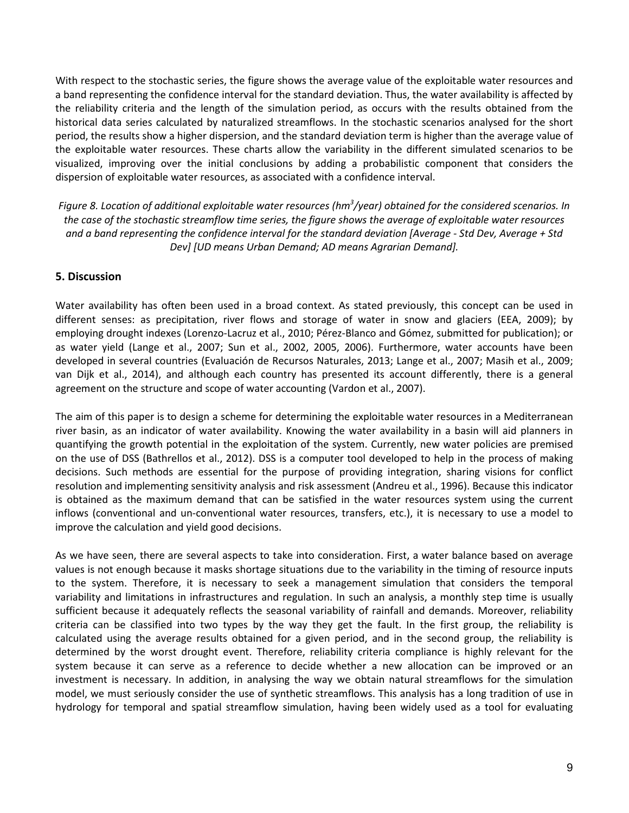With respect to the stochastic series, the figure shows the average value of the exploitable water resources and a band representing the confidence interval for the standard deviation. Thus, the water availability is affected by the reliability criteria and the length of the simulation period, as occurs with the results obtained from the historical data series calculated by naturalized streamflows. In the stochastic scenarios analysed for the short period, the results show a higher dispersion, and the standard deviation term is higher than the average value of the exploitable water resources. These charts allow the variability in the different simulated scenarios to be visualized, improving over the initial conclusions by adding a probabilistic component that considers the dispersion of exploitable water resources, as associated with a confidence interval.

*Figure 8. Location of additional exploitable water resources (hm<sup>3</sup> /year) obtained for the considered scenarios. In the case of the stochastic streamflow time series, the figure shows the average of exploitable water resources and a band representing the confidence interval for the standard deviation [Average - Std Dev, Average + Std Dev] [UD means Urban Demand; AD means Agrarian Demand].*

## **5. Discussion**

Water availability has often been used in a broad context. As stated previously, this concept can be used in different senses: as precipitation, river flows and storage of water in snow and glaciers (EEA, 2009); by employing drought indexes (Lorenzo-Lacruz et al., 2010; Pérez-Blanco and Gómez, submitted for publication); or as water yield (Lange et al., 2007; Sun et al., 2002, 2005, 2006). Furthermore, water accounts have been developed in several countries (Evaluación de Recursos Naturales, 2013; Lange et al., 2007; Masih et al., 2009; van Dijk et al., 2014), and although each country has presented its account differently, there is a general agreement on the structure and scope of water accounting (Vardon et al., 2007).

The aim of this paper is to design a scheme for determining the exploitable water resources in a Mediterranean river basin, as an indicator of water availability. Knowing the water availability in a basin will aid planners in quantifying the growth potential in the exploitation of the system. Currently, new water policies are premised on the use of DSS (Bathrellos et al., 2012). DSS is a computer tool developed to help in the process of making decisions. Such methods are essential for the purpose of providing integration, sharing visions for conflict resolution and implementing sensitivity analysis and risk assessment (Andreu et al., 1996). Because this indicator is obtained as the maximum demand that can be satisfied in the water resources system using the current inflows (conventional and un-conventional water resources, transfers, etc.), it is necessary to use a model to improve the calculation and yield good decisions.

As we have seen, there are several aspects to take into consideration. First, a water balance based on average values is not enough because it masks shortage situations due to the variability in the timing of resource inputs to the system. Therefore, it is necessary to seek a management simulation that considers the temporal variability and limitations in infrastructures and regulation. In such an analysis, a monthly step time is usually sufficient because it adequately reflects the seasonal variability of rainfall and demands. Moreover, reliability criteria can be classified into two types by the way they get the fault. In the first group, the reliability is calculated using the average results obtained for a given period, and in the second group, the reliability is determined by the worst drought event. Therefore, reliability criteria compliance is highly relevant for the system because it can serve as a reference to decide whether a new allocation can be improved or an investment is necessary. In addition, in analysing the way we obtain natural streamflows for the simulation model, we must seriously consider the use of synthetic streamflows. This analysis has a long tradition of use in hydrology for temporal and spatial streamflow simulation, having been widely used as a tool for evaluating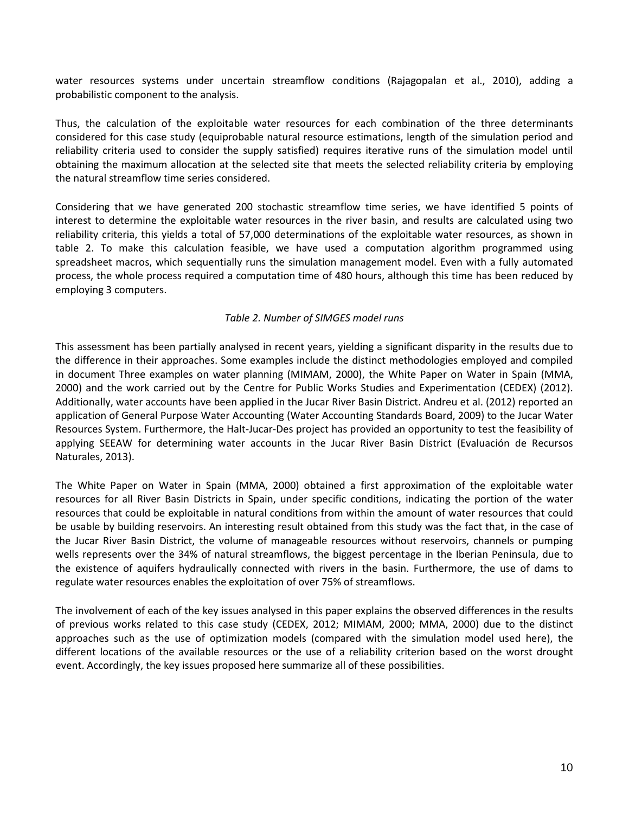water resources systems under uncertain streamflow conditions (Rajagopalan et al., 2010), adding a probabilistic component to the analysis.

Thus, the calculation of the exploitable water resources for each combination of the three determinants considered for this case study (equiprobable natural resource estimations, length of the simulation period and reliability criteria used to consider the supply satisfied) requires iterative runs of the simulation model until obtaining the maximum allocation at the selected site that meets the selected reliability criteria by employing the natural streamflow time series considered.

Considering that we have generated 200 stochastic streamflow time series, we have identified 5 points of interest to determine the exploitable water resources in the river basin, and results are calculated using two reliability criteria, this yields a total of 57,000 determinations of the exploitable water resources, as shown in table 2. To make this calculation feasible, we have used a computation algorithm programmed using spreadsheet macros, which sequentially runs the simulation management model. Even with a fully automated process, the whole process required a computation time of 480 hours, although this time has been reduced by employing 3 computers.

#### *Table 2. Number of SIMGES model runs*

This assessment has been partially analysed in recent years, yielding a significant disparity in the results due to the difference in their approaches. Some examples include the distinct methodologies employed and compiled in document Three examples on water planning (MIMAM, 2000), the White Paper on Water in Spain (MMA, 2000) and the work carried out by the Centre for Public Works Studies and Experimentation (CEDEX) (2012). Additionally, water accounts have been applied in the Jucar River Basin District. Andreu et al. (2012) reported an application of General Purpose Water Accounting (Water Accounting Standards Board, 2009) to the Jucar Water Resources System. Furthermore, the Halt-Jucar-Des project has provided an opportunity to test the feasibility of applying SEEAW for determining water accounts in the Jucar River Basin District (Evaluación de Recursos Naturales, 2013).

The White Paper on Water in Spain (MMA, 2000) obtained a first approximation of the exploitable water resources for all River Basin Districts in Spain, under specific conditions, indicating the portion of the water resources that could be exploitable in natural conditions from within the amount of water resources that could be usable by building reservoirs. An interesting result obtained from this study was the fact that, in the case of the Jucar River Basin District, the volume of manageable resources without reservoirs, channels or pumping wells represents over the 34% of natural streamflows, the biggest percentage in the Iberian Peninsula, due to the existence of aquifers hydraulically connected with rivers in the basin. Furthermore, the use of dams to regulate water resources enables the exploitation of over 75% of streamflows.

The involvement of each of the key issues analysed in this paper explains the observed differences in the results of previous works related to this case study (CEDEX, 2012; MIMAM, 2000; MMA, 2000) due to the distinct approaches such as the use of optimization models (compared with the simulation model used here), the different locations of the available resources or the use of a reliability criterion based on the worst drought event. Accordingly, the key issues proposed here summarize all of these possibilities.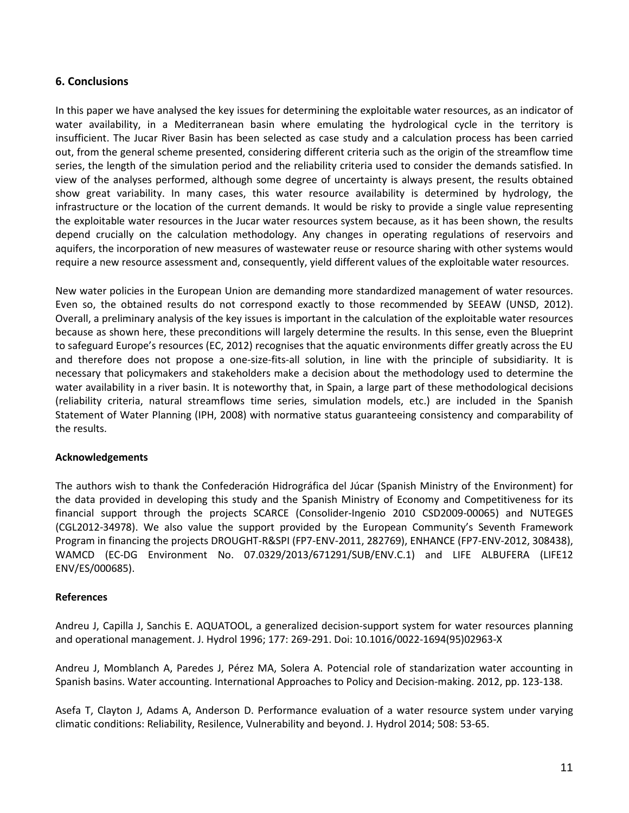# **6. Conclusions**

In this paper we have analysed the key issues for determining the exploitable water resources, as an indicator of water availability, in a Mediterranean basin where emulating the hydrological cycle in the territory is insufficient. The Jucar River Basin has been selected as case study and a calculation process has been carried out, from the general scheme presented, considering different criteria such as the origin of the streamflow time series, the length of the simulation period and the reliability criteria used to consider the demands satisfied. In view of the analyses performed, although some degree of uncertainty is always present, the results obtained show great variability. In many cases, this water resource availability is determined by hydrology, the infrastructure or the location of the current demands. It would be risky to provide a single value representing the exploitable water resources in the Jucar water resources system because, as it has been shown, the results depend crucially on the calculation methodology. Any changes in operating regulations of reservoirs and aquifers, the incorporation of new measures of wastewater reuse or resource sharing with other systems would require a new resource assessment and, consequently, yield different values of the exploitable water resources.

New water policies in the European Union are demanding more standardized management of water resources. Even so, the obtained results do not correspond exactly to those recommended by SEEAW (UNSD, 2012). Overall, a preliminary analysis of the key issues is important in the calculation of the exploitable water resources because as shown here, these preconditions will largely determine the results. In this sense, even the Blueprint to safeguard Europe's resources (EC, 2012) recognises that the aquatic environments differ greatly across the EU and therefore does not propose a one-size-fits-all solution, in line with the principle of subsidiarity. It is necessary that policymakers and stakeholders make a decision about the methodology used to determine the water availability in a river basin. It is noteworthy that, in Spain, a large part of these methodological decisions (reliability criteria, natural streamflows time series, simulation models, etc.) are included in the Spanish Statement of Water Planning (IPH, 2008) with normative status guaranteeing consistency and comparability of the results.

#### **Acknowledgements**

The authors wish to thank the Confederación Hidrográfica del Júcar (Spanish Ministry of the Environment) for the data provided in developing this study and the Spanish Ministry of Economy and Competitiveness for its financial support through the projects SCARCE (Consolider-Ingenio 2010 CSD2009-00065) and NUTEGES (CGL2012-34978). We also value the support provided by the European Community's Seventh Framework Program in financing the projects DROUGHT-R&SPI (FP7-ENV-2011, 282769), ENHANCE (FP7-ENV-2012, 308438), WAMCD (EC-DG Environment No. 07.0329[/2013/671291/](tel:2013%2F671291)SUB/ENV.C.1) and LIFE ALBUFERA (LIFE12 ENV/ES/000685).

#### **References**

Andreu J, Capilla J, Sanchis E. AQUATOOL, a generalized decision-support system for water resources planning and operational management. J. Hydrol 1996; 177: 269-291. Doi: 10.1016/0022-1694(95)02963-X

Andreu J, Momblanch A, Paredes J, Pérez MA, Solera A. Potencial role of standarization water accounting in Spanish basins. Water accounting. International Approaches to Policy and Decision-making. 2012, pp. 123-138.

Asefa T, Clayton J, Adams A, Anderson D. Performance evaluation of a water resource system under varying climatic conditions: Reliability, Resilence, Vulnerability and beyond. J. Hydrol 2014; 508: 53-65.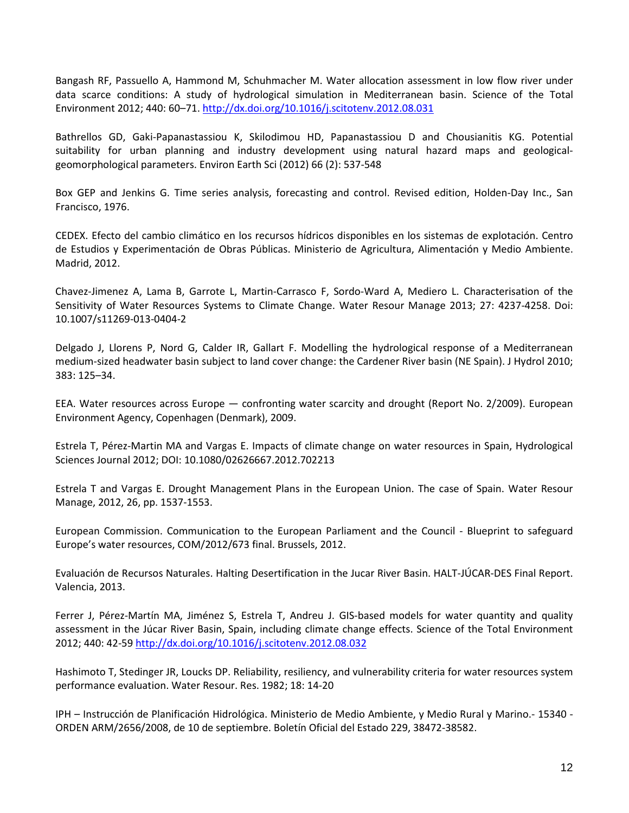Bangash RF, Passuello A, Hammond M, Schuhmacher M. Water allocation assessment in low flow river under data scarce conditions: A study of hydrological simulation in Mediterranean basin. Science of the Total Environment 2012; 440: 60–71.<http://dx.doi.org/10.1016/j.scitotenv.2012.08.031>

Bathrellos GD, Gaki-Papanastassiou K, Skilodimou HD, Papanastassiou D and Chousianitis KG. Potential suitability for urban planning and industry development using natural hazard maps and geologicalgeomorphological parameters. Environ Earth Sci (2012) 66 (2): 537-548

Box GEP and Jenkins G. Time series analysis, forecasting and control. Revised edition, Holden-Day Inc., San Francisco, 1976.

CEDEX. [Efecto del cambio climático en los recursos hídricos disponibles en los sistemas de explotación.](http://www.magrama.gob.es/es/agua/temas/planificacion-hidrologica/ImpactoCCSistemasExplotacion_tcm7-310164.pdf) Centro de Estudios y Experimentación de Obras Públicas. Ministerio de Agricultura, Alimentación y Medio Ambiente. Madrid, 2012.

Chavez-Jimenez A, Lama B, Garrote L, Martin-Carrasco F, Sordo-Ward A, Mediero L. Characterisation of the Sensitivity of Water Resources Systems to Climate Change. Water Resour Manage 2013; 27: 4237-4258. Doi: 10.1007/s11269-013-0404-2

Delgado J, Llorens P, Nord G, Calder IR, Gallart F. Modelling the hydrological response of a Mediterranean medium-sized headwater basin subject to land cover change: the Cardener River basin (NE Spain). J Hydrol 2010; 383: 125–34.

EEA. Water resources across Europe — confronting water scarcity and drought (Report No. 2/2009). European Environment Agency, Copenhagen (Denmark), 2009.

Estrela T, Pérez-Martin MA and Vargas E. Impacts of climate change on water resources in Spain, Hydrological Sciences Journal 2012; DOI: 10.1080/02626667.2012.702213

Estrela T and Vargas E. Drought Management Plans in the European Union. The case of Spain. Water Resour Manage, 2012, 26, pp. 1537-1553.

European Commission. Communication to the European Parliament and the Council - Blueprint to safeguard Europe's water resources, COM/2012/673 final. Brussels, 2012.

Evaluación de Recursos Naturales. Halting Desertification in the Jucar River Basin. HALT-JÚCAR-DES Final Report. Valencia, 2013.

Ferrer J, Pérez-Martín MA, Jiménez S, Estrela T, Andreu J. GIS-based models for water quantity and quality assessment in the Júcar River Basin, Spain, including climate change effects. Science of the Total Environment 2012; 440: 42-59<http://dx.doi.org/10.1016/j.scitotenv.2012.08.032>

Hashimoto T, Stedinger JR, Loucks DP. Reliability, resiliency, and vulnerability criteria for water resources system performance evaluation. Water Resour. Res. 1982; 18: 14-20

IPH – Instrucción de Planificación Hidrológica. Ministerio de Medio Ambiente, y Medio Rural y Marino.- 15340 - ORDEN ARM/2656/2008, de 10 de septiembre. Boletín Oficial del Estado 229, 38472-38582.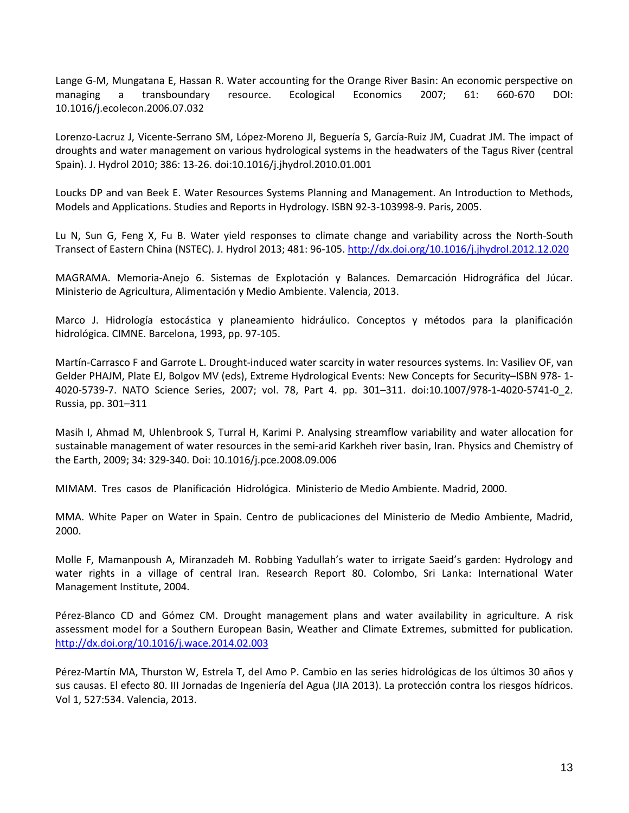Lange G-M, Mungatana E, Hassan R. Water accounting for the Orange River Basin: An economic perspective on managing a transboundary resource. Ecological Economics 2007; 61: 660-670 DOI: 10.1016/j.ecolecon.2006.07.032

Lorenzo-Lacruz J, Vicente-Serrano SM, López-Moreno JI, Beguería S, García-Ruiz JM, Cuadrat JM. The impact of droughts and water management on various hydrological systems in the headwaters of the Tagus River (central Spain). J. Hydrol 2010; 386: 13-26. doi:10.1016/j.jhydrol.2010.01.001

Loucks DP and van Beek E. Water Resources Systems Planning and Management. An Introduction to Methods, Models and Applications. Studies and Reports in Hydrology. ISBN 92-3-103998-9. Paris, 2005.

Lu N, Sun G, Feng X, Fu B. Water yield responses to climate change and variability across the North-South Transect of Eastern China (NSTEC). J. Hydrol 2013; 481: 96-105[. http://dx.doi.org/10.1016/j.jhydrol.2012.12.020](http://dx.doi.org/10.1016/j.jhydrol.2012.12.020)

MAGRAMA. Memoria-Anejo 6. Sistemas de Explotación y Balances. Demarcación Hidrográfica del Júcar. Ministerio de Agricultura, Alimentación y Medio Ambiente. Valencia, 2013.

Marco J. Hidrología estocástica y planeamiento hidráulico. Conceptos y métodos para la planificación hidrológica. CIMNE. Barcelona, 1993, pp. 97-105.

Martín-Carrasco F and Garrote L. Drought-induced water scarcity in water resources systems. In: Vasiliev OF, van Gelder PHAJM, Plate EJ, Bolgov MV (eds), Extreme Hydrological Events: New Concepts for Security–ISBN 978- 1- 4020-5739-7. NATO Science Series, 2007; vol. 78, Part 4. pp. 301–311. doi:10.1007/978-1-4020-5741-0\_2. Russia, pp. 301–311

Masih I, Ahmad M, Uhlenbrook S, Turral H, Karimi P. Analysing streamflow variability and water allocation for sustainable management of water resources in the semi-arid Karkheh river basin, Iran. Physics and Chemistry of the Earth, 2009; 34: 329-340. Doi: 10.1016/j.pce.2008.09.006

MIMAM. Tres casos de Planificación Hidrológica. Ministerio de Medio Ambiente. Madrid, 2000.

MMA. White Paper on Water in Spain. Centro de publicaciones del Ministerio de Medio Ambiente, Madrid, 2000.

Molle F, Mamanpoush A, Miranzadeh M. Robbing Yadullah's water to irrigate Saeid's garden: Hydrology and water rights in a village of central Iran. Research Report 80. Colombo, Sri Lanka: International Water Management Institute, 2004.

Pérez-Blanco CD and Gómez CM. Drought management plans and water availability in agriculture. A risk assessment model for a Southern European Basin, Weather and Climate Extremes, submitted for publication. <http://dx.doi.org/10.1016/j.wace.2014.02.003>

Pérez-Martín MA, Thurston W, Estrela T, del Amo P. Cambio en las series hidrológicas de los últimos 30 años y sus causas. El efecto 80. III Jornadas de Ingeniería del Agua (JIA 2013). La protección contra los riesgos hídricos. Vol 1, 527:534. Valencia, 2013.